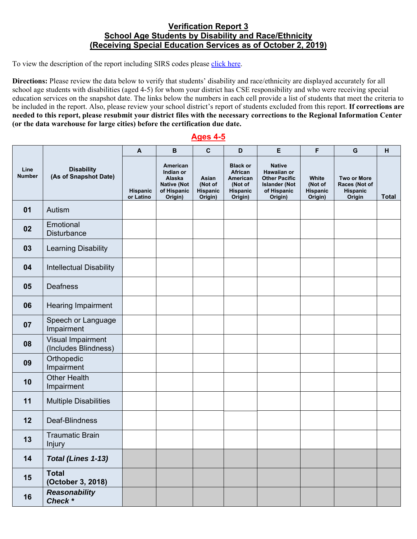## **Verification Report 3 School Age Students by Disability and Race/Ethnicity (Receiving Special Education Services as of October 2, 2019)**

To view the description of the report including SIRS codes please click here.

**Directions:** Please review the data below to verify that students' disability and race/ethnicity are displayed accurately for all school age students with disabilities (aged 4-5) for whom your district has CSE responsibility and who were receiving special education services on the snapshot date. The links below the numbers in each cell provide a list of students that meet the criteria to be included in the report. Also, please review your school district's report of students excluded from this report. **If corrections are needed to this report, please resubmit your district files with the necessary corrections to the Regional Information Center (or the data warehouse for large cities) before the certification due date.**

## **Ages 4-5**

| Line<br><b>Number</b> | <b>Disability</b><br>(As of Snapshot Date)       | $\mathsf{A}$          | $\mathbf B$                                                                     | $\mathbf{C}$                            | D                                                                        | E                                                                                                      | F                                       | G                                                         | H            |
|-----------------------|--------------------------------------------------|-----------------------|---------------------------------------------------------------------------------|-----------------------------------------|--------------------------------------------------------------------------|--------------------------------------------------------------------------------------------------------|-----------------------------------------|-----------------------------------------------------------|--------------|
|                       |                                                  | Hispanic<br>or Latino | American<br>Indian or<br>Alaska<br><b>Native (Not</b><br>of Hispanic<br>Origin) | Asian<br>(Not of<br>Hispanic<br>Origin) | <b>Black or</b><br>African<br>American<br>(Not of<br>Hispanic<br>Origin) | <b>Native</b><br>Hawaiian or<br><b>Other Pacific</b><br><b>Islander (Not</b><br>of Hispanic<br>Origin) | White<br>(Not of<br>Hispanic<br>Origin) | <b>Two or More</b><br>Races (Not of<br>Hispanic<br>Origin | <b>Total</b> |
| 01                    | Autism                                           |                       |                                                                                 |                                         |                                                                          |                                                                                                        |                                         |                                                           |              |
| 02                    | Emotional<br><b>Disturbance</b>                  |                       |                                                                                 |                                         |                                                                          |                                                                                                        |                                         |                                                           |              |
| 03                    | <b>Learning Disability</b>                       |                       |                                                                                 |                                         |                                                                          |                                                                                                        |                                         |                                                           |              |
| 04                    | <b>Intellectual Disability</b>                   |                       |                                                                                 |                                         |                                                                          |                                                                                                        |                                         |                                                           |              |
| 05                    | <b>Deafness</b>                                  |                       |                                                                                 |                                         |                                                                          |                                                                                                        |                                         |                                                           |              |
| 06                    | Hearing Impairment                               |                       |                                                                                 |                                         |                                                                          |                                                                                                        |                                         |                                                           |              |
| 07                    | Speech or Language<br>Impairment                 |                       |                                                                                 |                                         |                                                                          |                                                                                                        |                                         |                                                           |              |
| 08                    | <b>Visual Impairment</b><br>(Includes Blindness) |                       |                                                                                 |                                         |                                                                          |                                                                                                        |                                         |                                                           |              |
| 09                    | Orthopedic<br>Impairment                         |                       |                                                                                 |                                         |                                                                          |                                                                                                        |                                         |                                                           |              |
| 10                    | <b>Other Health</b><br>Impairment                |                       |                                                                                 |                                         |                                                                          |                                                                                                        |                                         |                                                           |              |
| 11                    | <b>Multiple Disabilities</b>                     |                       |                                                                                 |                                         |                                                                          |                                                                                                        |                                         |                                                           |              |
| 12                    | Deaf-Blindness                                   |                       |                                                                                 |                                         |                                                                          |                                                                                                        |                                         |                                                           |              |
| 13                    | <b>Traumatic Brain</b><br>Injury                 |                       |                                                                                 |                                         |                                                                          |                                                                                                        |                                         |                                                           |              |
| 14                    | Total (Lines 1-13)                               |                       |                                                                                 |                                         |                                                                          |                                                                                                        |                                         |                                                           |              |
| 15                    | <b>Total</b><br>(October 3, 2018)                |                       |                                                                                 |                                         |                                                                          |                                                                                                        |                                         |                                                           |              |
| 16                    | <b>Reasonability</b><br>Check *                  |                       |                                                                                 |                                         |                                                                          |                                                                                                        |                                         |                                                           |              |